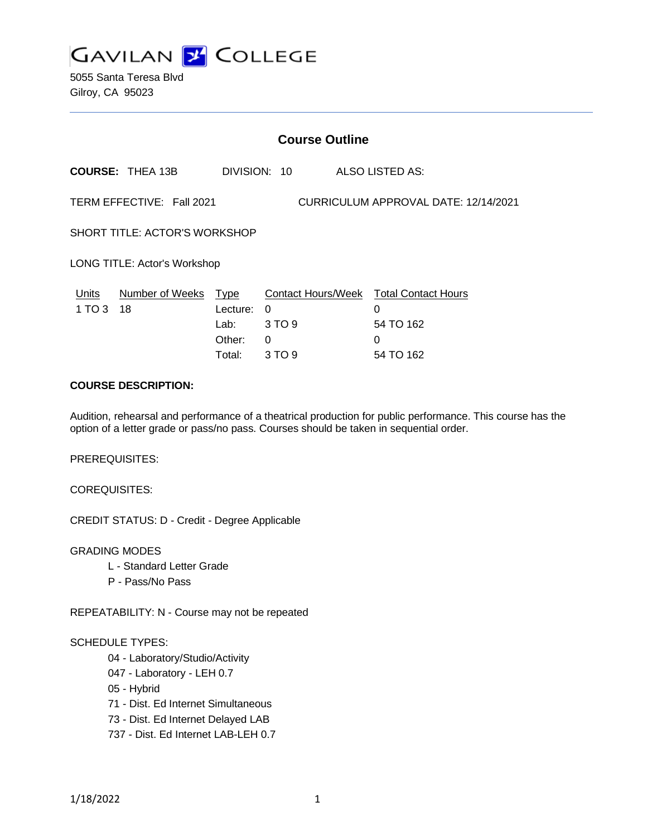

5055 Santa Teresa Blvd Gilroy, CA 95023

|                               | <b>Course Outline</b>                                             |                                                     |                                   |                 |                                                                  |  |
|-------------------------------|-------------------------------------------------------------------|-----------------------------------------------------|-----------------------------------|-----------------|------------------------------------------------------------------|--|
|                               | <b>COURSE: THEA 13B</b>                                           |                                                     | DIVISION: 10                      | ALSO LISTED AS: |                                                                  |  |
|                               | TERM EFFECTIVE: Fall 2021<br>CURRICULUM APPROVAL DATE: 12/14/2021 |                                                     |                                   |                 |                                                                  |  |
| SHORT TITLE: ACTOR'S WORKSHOP |                                                                   |                                                     |                                   |                 |                                                                  |  |
| LONG TITLE: Actor's Workshop  |                                                                   |                                                     |                                   |                 |                                                                  |  |
| Units<br>1 TO 3               | Number of Weeks<br>18                                             | <u>Type</u><br>Lecture:<br>Lab:<br>Other:<br>Total: | $\Omega$<br>3 TO 9<br>0<br>3 TO 9 | 0<br>0          | Contact Hours/Week Total Contact Hours<br>54 TO 162<br>54 TO 162 |  |

## **COURSE DESCRIPTION:**

Audition, rehearsal and performance of a theatrical production for public performance. This course has the option of a letter grade or pass/no pass. Courses should be taken in sequential order.

PREREQUISITES:

COREQUISITES:

CREDIT STATUS: D - Credit - Degree Applicable

GRADING MODES

- L Standard Letter Grade
- P Pass/No Pass

REPEATABILITY: N - Course may not be repeated

#### SCHEDULE TYPES:

- 04 Laboratory/Studio/Activity
- 047 Laboratory LEH 0.7
- 05 Hybrid
- 71 Dist. Ed Internet Simultaneous
- 73 Dist. Ed Internet Delayed LAB
- 737 Dist. Ed Internet LAB-LEH 0.7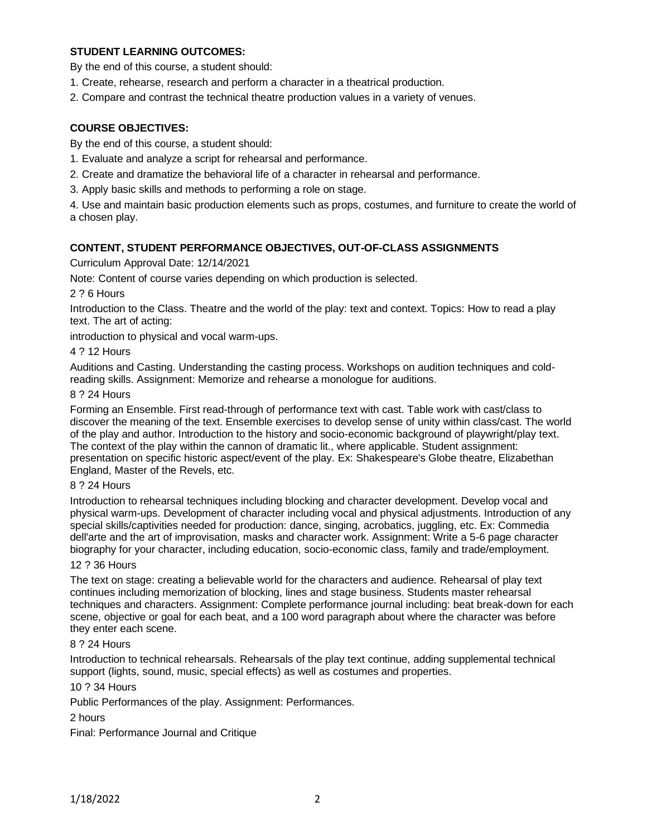# **STUDENT LEARNING OUTCOMES:**

By the end of this course, a student should:

- 1. Create, rehearse, research and perform a character in a theatrical production.
- 2. Compare and contrast the technical theatre production values in a variety of venues.

## **COURSE OBJECTIVES:**

By the end of this course, a student should:

- 1. Evaluate and analyze a script for rehearsal and performance.
- 2. Create and dramatize the behavioral life of a character in rehearsal and performance.
- 3. Apply basic skills and methods to performing a role on stage.

4. Use and maintain basic production elements such as props, costumes, and furniture to create the world of a chosen play.

#### **CONTENT, STUDENT PERFORMANCE OBJECTIVES, OUT-OF-CLASS ASSIGNMENTS**

Curriculum Approval Date: 12/14/2021

Note: Content of course varies depending on which production is selected.

2 ? 6 Hours

Introduction to the Class. Theatre and the world of the play: text and context. Topics: How to read a play text. The art of acting:

introduction to physical and vocal warm-ups.

#### 4 ? 12 Hours

Auditions and Casting. Understanding the casting process. Workshops on audition techniques and coldreading skills. Assignment: Memorize and rehearse a monologue for auditions.

#### 8 ? 24 Hours

Forming an Ensemble. First read-through of performance text with cast. Table work with cast/class to discover the meaning of the text. Ensemble exercises to develop sense of unity within class/cast. The world of the play and author. Introduction to the history and socio-economic background of playwright/play text. The context of the play within the cannon of dramatic lit., where applicable. Student assignment: presentation on specific historic aspect/event of the play. Ex: Shakespeare's Globe theatre, Elizabethan England, Master of the Revels, etc.

#### 8 ? 24 Hours

Introduction to rehearsal techniques including blocking and character development. Develop vocal and physical warm-ups. Development of character including vocal and physical adjustments. Introduction of any special skills/captivities needed for production: dance, singing, acrobatics, juggling, etc. Ex: Commedia dell'arte and the art of improvisation, masks and character work. Assignment: Write a 5-6 page character biography for your character, including education, socio-economic class, family and trade/employment.

# 12 ? 36 Hours

The text on stage: creating a believable world for the characters and audience. Rehearsal of play text continues including memorization of blocking, lines and stage business. Students master rehearsal techniques and characters. Assignment: Complete performance journal including: beat break-down for each scene, objective or goal for each beat, and a 100 word paragraph about where the character was before they enter each scene.

#### 8 ? 24 Hours

Introduction to technical rehearsals. Rehearsals of the play text continue, adding supplemental technical support (lights, sound, music, special effects) as well as costumes and properties.

### 10 ? 34 Hours

Public Performances of the play. Assignment: Performances.

#### 2 hours

Final: Performance Journal and Critique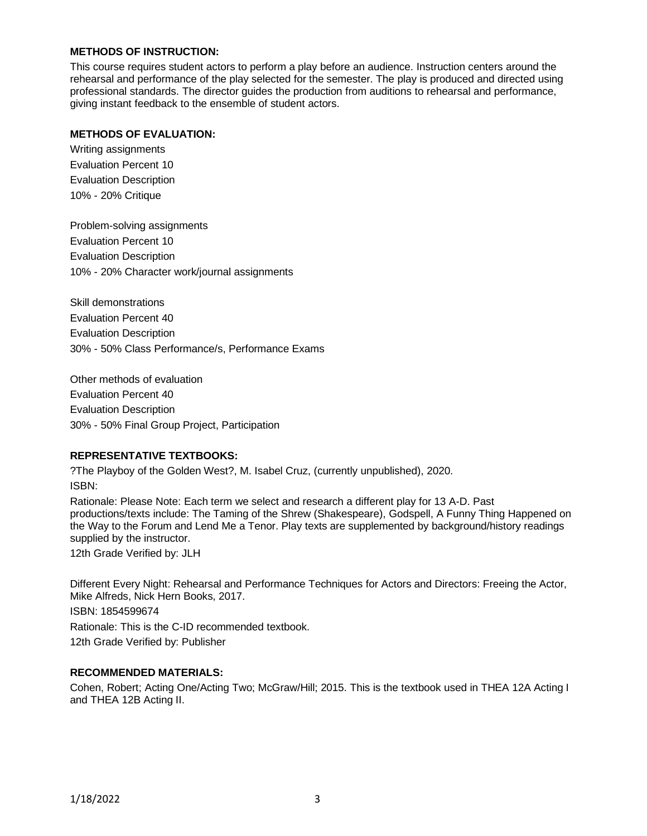# **METHODS OF INSTRUCTION:**

This course requires student actors to perform a play before an audience. Instruction centers around the rehearsal and performance of the play selected for the semester. The play is produced and directed using professional standards. The director guides the production from auditions to rehearsal and performance, giving instant feedback to the ensemble of student actors.

## **METHODS OF EVALUATION:**

Writing assignments Evaluation Percent 10 Evaluation Description 10% - 20% Critique

Problem-solving assignments Evaluation Percent 10 Evaluation Description 10% - 20% Character work/journal assignments

Skill demonstrations Evaluation Percent 40 Evaluation Description 30% - 50% Class Performance/s, Performance Exams

Other methods of evaluation Evaluation Percent 40 Evaluation Description 30% - 50% Final Group Project, Participation

## **REPRESENTATIVE TEXTBOOKS:**

?The Playboy of the Golden West?, M. Isabel Cruz, (currently unpublished), 2020. ISBN:

Rationale: Please Note: Each term we select and research a different play for 13 A-D. Past productions/texts include: The Taming of the Shrew (Shakespeare), Godspell, A Funny Thing Happened on the Way to the Forum and Lend Me a Tenor. Play texts are supplemented by background/history readings supplied by the instructor.

12th Grade Verified by: JLH

Different Every Night: Rehearsal and Performance Techniques for Actors and Directors: Freeing the Actor, Mike Alfreds, Nick Hern Books, 2017.

ISBN: 1854599674

Rationale: This is the C-ID recommended textbook.

12th Grade Verified by: Publisher

### **RECOMMENDED MATERIALS:**

Cohen, Robert; Acting One/Acting Two; McGraw/Hill; 2015. This is the textbook used in THEA 12A Acting I and THEA 12B Acting II.